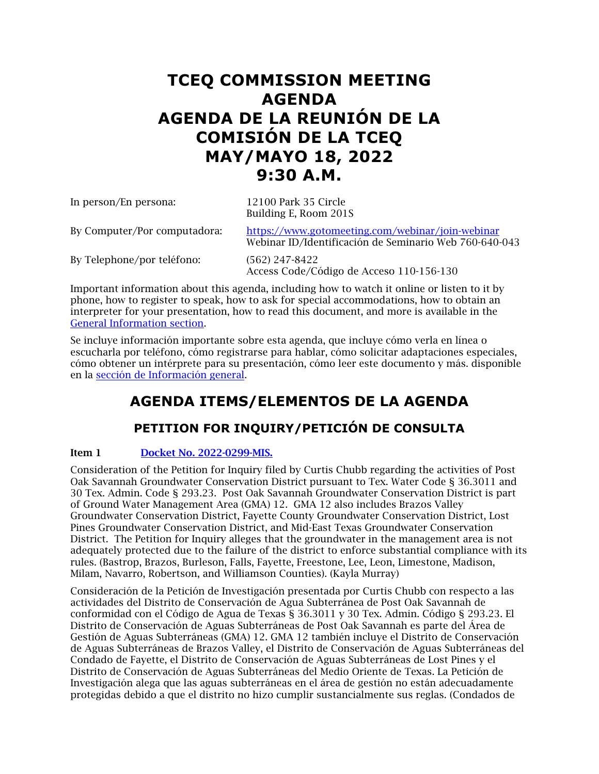# **TCEQ COMMISSION MEETING AGENDA AGENDA DE LA REUNIÓN DE LA COMISIÓN DE LA TCEQ MAY/MAYO 18, 2022 9:30 A.M.**

| In person/En persona:        | 12100 Park 35 Circle<br>Building E, Room 201S                                                              |
|------------------------------|------------------------------------------------------------------------------------------------------------|
| By Computer/Por computadora: | https://www.gotomeeting.com/webinar/join-webinar<br>Webinar ID/Identificación de Seminario Web 760-640-043 |
| By Telephone/por teléfono:   | $(562)$ 247-8422<br>Access Code/Código de Acceso 110-156-130                                               |

Important information about this agenda, including how to watch it online or listen to it by phone, how to register to speak, how to ask for special accommodations, how to obtain an interpreter for your presentation, how to read this document, and more is available in the [General Information section.](#page-9-0) 

Se incluye información importante sobre esta agenda, que incluye cómo verla en línea o escucharla por teléfono, cómo registrarse para hablar, cómo solicitar adaptaciones especiales, cómo obtener un intérprete para su presentación, cómo leer este documento y más. disponible en la [sección de Información general.](#page-9-0)

# **AGENDA ITEMS/ELEMENTOS DE LA AGENDA**

# **PETITION FOR INQUIRY/PETICIÓN DE CONSULTA**

## Item 1 [Docket No. 2022-0299-MIS.](https://www.tceq.texas.gov/downloads/agency/decisions/agendas/backup/2022/2022-0299-mis-index.pdf)

Consideration of the Petition for Inquiry filed by Curtis Chubb regarding the activities of Post Oak Savannah Groundwater Conservation District pursuant to Tex. Water Code § 36.3011 and 30 Tex. Admin. Code § 293.23. Post Oak Savannah Groundwater Conservation District is part of Ground Water Management Area (GMA) 12. GMA 12 also includes Brazos Valley Groundwater Conservation District, Fayette County Groundwater Conservation District, Lost Pines Groundwater Conservation District, and Mid-East Texas Groundwater Conservation District. The Petition for Inquiry alleges that the groundwater in the management area is not adequately protected due to the failure of the district to enforce substantial compliance with its rules. (Bastrop, Brazos, Burleson, Falls, Fayette, Freestone, Lee, Leon, Limestone, Madison, Milam, Navarro, Robertson, and Williamson Counties). (Kayla Murray)

Consideración de la Petición de Investigación presentada por Curtis Chubb con respecto a las actividades del Distrito de Conservación de Agua Subterránea de Post Oak Savannah de conformidad con el Código de Agua de Texas § 36.3011 y 30 Tex. Admin. Código § 293.23. El Distrito de Conservación de Aguas Subterráneas de Post Oak Savannah es parte del Área de Gestión de Aguas Subterráneas (GMA) 12. GMA 12 también incluye el Distrito de Conservación de Aguas Subterráneas de Brazos Valley, el Distrito de Conservación de Aguas Subterráneas del Condado de Fayette, el Distrito de Conservación de Aguas Subterráneas de Lost Pines y el Distrito de Conservación de Aguas Subterráneas del Medio Oriente de Texas. La Petición de Investigación alega que las aguas subterráneas en el área de gestión no están adecuadamente protegidas debido a que el distrito no hizo cumplir sustancialmente sus reglas. (Condados de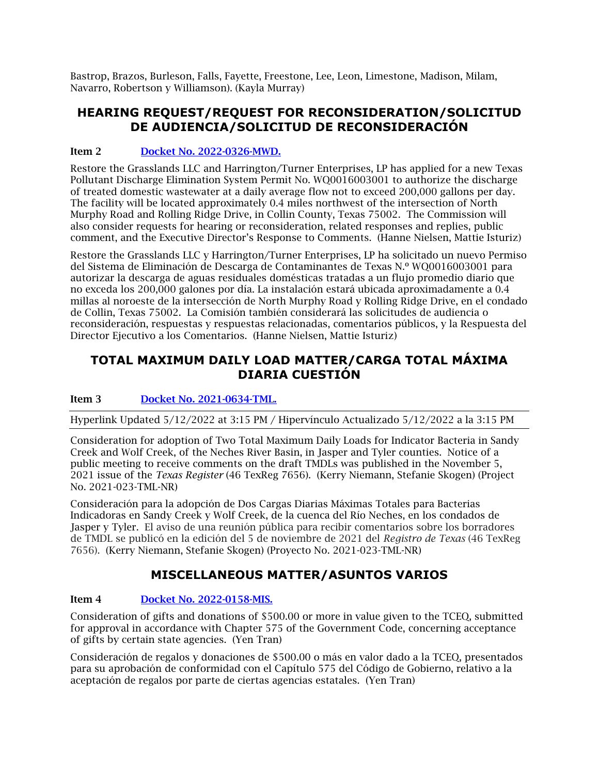Bastrop, Brazos, Burleson, Falls, Fayette, Freestone, Lee, Leon, Limestone, Madison, Milam, Navarro, Robertson y Williamson). (Kayla Murray)

## **HEARING REQUEST/REQUEST FOR RECONSIDERATION/SOLICITUD DE AUDIENCIA/SOLICITUD DE RECONSIDERACIÓN**

## Item 2 [Docket No. 2022-0326-MWD.](https://www.tceq.texas.gov/downloads/agency/decisions/agendas/backup/2022/2022-0326-mwd-index.pdf)

Restore the Grasslands LLC and Harrington/Turner Enterprises, LP has applied for a new Texas Pollutant Discharge Elimination System Permit No. WQ0016003001 to authorize the discharge of treated domestic wastewater at a daily average flow not to exceed 200,000 gallons per day. The facility will be located approximately 0.4 miles northwest of the intersection of North Murphy Road and Rolling Ridge Drive, in Collin County, Texas 75002. The Commission will also consider requests for hearing or reconsideration, related responses and replies, public comment, and the Executive Director's Response to Comments. (Hanne Nielsen, Mattie Isturiz)

Restore the Grasslands LLC y Harrington/Turner Enterprises, LP ha solicitado un nuevo Permiso del Sistema de Eliminación de Descarga de Contaminantes de Texas N.º WQ0016003001 para autorizar la descarga de aguas residuales domésticas tratadas a un flujo promedio diario que no exceda los 200,000 galones por día. La instalación estará ubicada aproximadamente a 0.4 millas al noroeste de la intersección de North Murphy Road y Rolling Ridge Drive, en el condado de Collin, Texas 75002. La Comisión también considerará las solicitudes de audiencia o reconsideración, respuestas y respuestas relacionadas, comentarios públicos, y la Respuesta del Director Ejecutivo a los Comentarios. (Hanne Nielsen, Mattie Isturiz)

## **TOTAL MAXIMUM DAILY LOAD MATTER/CARGA TOTAL MÁXIMA DIARIA CUESTIÓN**

## Item 3 [Docket No. 2021-0634-TML.](https://www.tceq.texas.gov/downloads/agency/decisions/agendas/backup/2021/2021-0634-tml.pdf)

Hyperlink Updated 5/12/2022 at 3:15 PM / Hipervínculo Actualizado 5/12/2022 a la 3:15 PM

Consideration for adoption of Two Total Maximum Daily Loads for Indicator Bacteria in Sandy Creek and Wolf Creek, of the Neches River Basin, in Jasper and Tyler counties. Notice of a public meeting to receive comments on the draft TMDLs was published in the November 5, 2021 issue of the *Texas Register* (46 TexReg 7656). (Kerry Niemann, Stefanie Skogen) (Project No. 2021-023-TML-NR)

Consideración para la adopción de Dos Cargas Diarias Máximas Totales para Bacterias Indicadoras en Sandy Creek y Wolf Creek, de la cuenca del Río Neches, en los condados de Jasper y Tyler. El aviso de una reunión pública para recibir comentarios sobre los borradores de TMDL se publicó en la edición del 5 de noviembre de 2021 del *Registro de Texas* (46 TexReg 7656). (Kerry Niemann, Stefanie Skogen) (Proyecto No. 2021-023-TML-NR)

# **MISCELLANEOUS MATTER/ASUNTOS VARIOS**

## Item 4 [Docket No. 2022-0158-MIS.](https://www.tceq.texas.gov/downloads/agency/decisions/agendas/backup/2022/2022-0158-mis.pdf)

Consideration of gifts and donations of \$500.00 or more in value given to the TCEQ, submitted for approval in accordance with Chapter 575 of the Government Code, concerning acceptance of gifts by certain state agencies. (Yen Tran)

Consideración de regalos y donaciones de \$500.00 o más en valor dado a la TCEQ, presentados para su aprobación de conformidad con el Capítulo 575 del Código de Gobierno, relativo a la aceptación de regalos por parte de ciertas agencias estatales. (Yen Tran)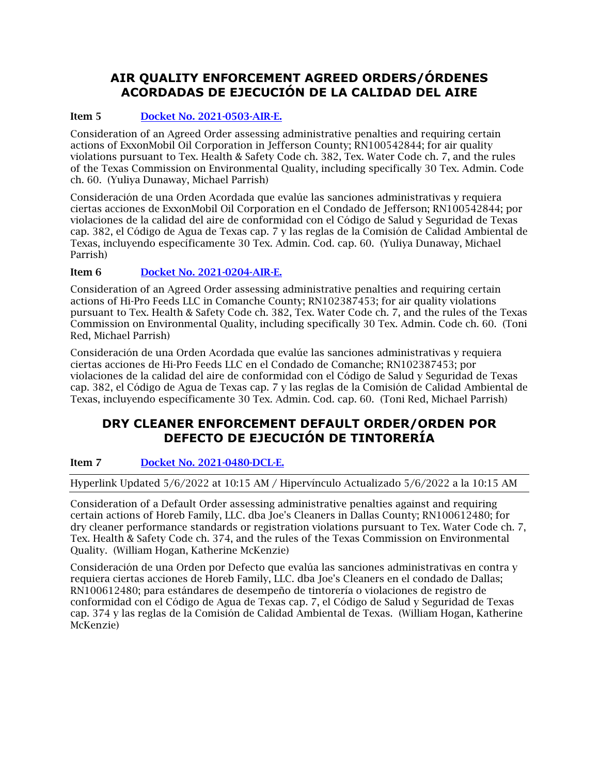# **AIR QUALITY ENFORCEMENT AGREED ORDERS/ÓRDENES ACORDADAS DE EJECUCIÓN DE LA CALIDAD DEL AIRE**

## Item 5 [Docket No. 2021-0503-AIR-E.](https://www.tceq.texas.gov/downloads/agency/decisions/agendas/backup/2021/2021-0503-air-e.pdf)

Consideration of an Agreed Order assessing administrative penalties and requiring certain actions of ExxonMobil Oil Corporation in Jefferson County; RN100542844; for air quality violations pursuant to Tex. Health & Safety Code ch. 382, Tex. Water Code ch. 7, and the rules of the Texas Commission on Environmental Quality, including specifically 30 Tex. Admin. Code ch. 60. (Yuliya Dunaway, Michael Parrish)

Consideración de una Orden Acordada que evalúe las sanciones administrativas y requiera ciertas acciones de ExxonMobil Oil Corporation en el Condado de Jefferson; RN100542844; por violaciones de la calidad del aire de conformidad con el Código de Salud y Seguridad de Texas cap. 382, el Código de Agua de Texas cap. 7 y las reglas de la Comisión de Calidad Ambiental de Texas, incluyendo específicamente 30 Tex. Admin. Cod. cap. 60. (Yuliya Dunaway, Michael Parrish)

## Item 6 [Docket No. 2021-0204-AIR-E.](https://www.tceq.texas.gov/downloads/agency/decisions/agendas/backup/2021/2021-0204-air-e.pdf)

Consideration of an Agreed Order assessing administrative penalties and requiring certain actions of Hi-Pro Feeds LLC in Comanche County; RN102387453; for air quality violations pursuant to Tex. Health & Safety Code ch. 382, Tex. Water Code ch. 7, and the rules of the Texas Commission on Environmental Quality, including specifically 30 Tex. Admin. Code ch. 60. (Toni Red, Michael Parrish)

Consideración de una Orden Acordada que evalúe las sanciones administrativas y requiera ciertas acciones de Hi-Pro Feeds LLC en el Condado de Comanche; RN102387453; por violaciones de la calidad del aire de conformidad con el Código de Salud y Seguridad de Texas cap. 382, el Código de Agua de Texas cap. 7 y las reglas de la Comisión de Calidad Ambiental de Texas, incluyendo específicamente 30 Tex. Admin. Cod. cap. 60. (Toni Red, Michael Parrish)

## **DRY CLEANER ENFORCEMENT DEFAULT ORDER/ORDEN POR DEFECTO DE EJECUCIÓN DE TINTORERÍA**

## Item 7 Docket [No. 2021-0480-DCL-E.](https://www.tceq.texas.gov/downloads/agency/decisions/agendas/backup/2021/2021-0480-dcl-e.pdf)

Hyperlink Updated 5/6/2022 at 10:15 AM / Hipervínculo Actualizado 5/6/2022 a la 10:15 AM

Consideration of a Default Order assessing administrative penalties against and requiring certain actions of Horeb Family, LLC. dba Joe's Cleaners in Dallas County; RN100612480; for dry cleaner performance standards or registration violations pursuant to Tex. Water Code ch. 7, Tex. Health & Safety Code ch. 374, and the rules of the Texas Commission on Environmental Quality. (William Hogan, Katherine McKenzie)

Consideración de una Orden por Defecto que evalúa las sanciones administrativas en contra y requiera ciertas acciones de Horeb Family, LLC. dba Joe's Cleaners en el condado de Dallas; RN100612480; para estándares de desempeño de tintorería o violaciones de registro de conformidad con el Código de Agua de Texas cap. 7, el Código de Salud y Seguridad de Texas cap. 374 y las reglas de la Comisión de Calidad Ambiental de Texas. (William Hogan, Katherine McKenzie)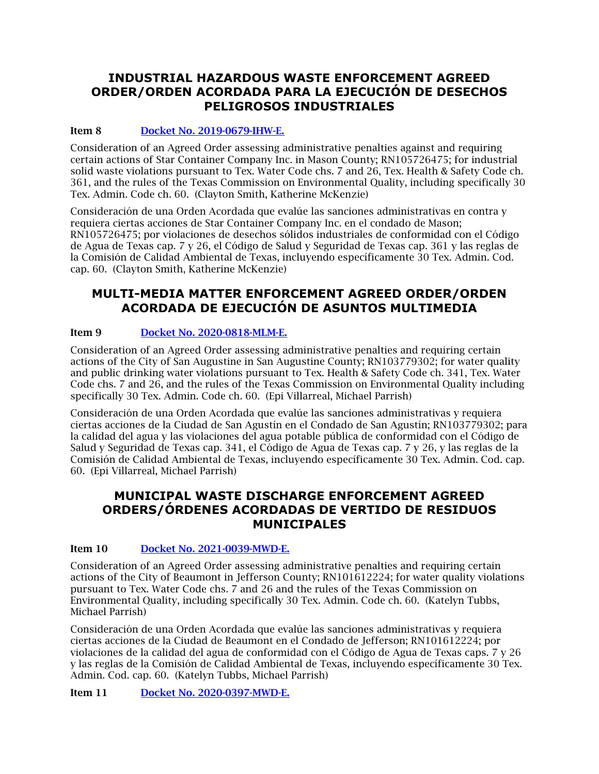## **INDUSTRIAL HAZARDOUS WASTE ENFORCEMENT AGREED ORDER/ORDEN ACORDADA PARA LA EJECUCIÓN DE DESECHOS PELIGROSOS INDUSTRIALES**

## Item 8 [Docket No. 2019-0679-IHW-E.](https://www.tceq.texas.gov/downloads/agency/decisions/agendas/backup/2019/2019-0679-ihw-e.pdf)

Consideration of an Agreed Order assessing administrative penalties against and requiring certain actions of Star Container Company Inc. in Mason County; RN105726475; for industrial solid waste violations pursuant to Tex. Water Code chs. 7 and 26, Tex. Health & Safety Code ch. 361, and the rules of the Texas Commission on Environmental Quality, including specifically 30 Tex. Admin. Code ch. 60. (Clayton Smith, Katherine McKenzie)

Consideración de una Orden Acordada que evalúe las sanciones administrativas en contra y requiera ciertas acciones de Star Container Company Inc. en el condado de Mason; RN105726475; por violaciones de desechos sólidos industriales de conformidad con el Código de Agua de Texas cap. 7 y 26, el Código de Salud y Seguridad de Texas cap. 361 y las reglas de la Comisión de Calidad Ambiental de Texas, incluyendo específicamente 30 Tex. Admin. Cod. cap. 60. (Clayton Smith, Katherine McKenzie)

## **MULTI-MEDIA MATTER ENFORCEMENT AGREED ORDER/ORDEN ACORDADA DE EJECUCIÓN DE ASUNTOS MULTIMEDIA**

## Item 9 [Docket No. 2020-0818-MLM-E.](https://www.tceq.texas.gov/downloads/agency/decisions/agendas/backup/2020/2020-0818-mlm-e.pdf)

Consideration of an Agreed Order assessing administrative penalties and requiring certain actions of the City of San Augustine in San Augustine County; RN103779302; for water quality and public drinking water violations pursuant to Tex. Health & Safety Code ch. 341, Tex. Water Code chs. 7 and 26, and the rules of the Texas Commission on Environmental Quality including specifically 30 Tex. Admin. Code ch. 60. (Epi Villarreal, Michael Parrish)

Consideración de una Orden Acordada que evalúe las sanciones administrativas y requiera ciertas acciones de la Ciudad de San Agustín en el Condado de San Agustín; RN103779302; para la calidad del agua y las violaciones del agua potable pública de conformidad con el Código de Salud y Seguridad de Texas cap. 341, el Código de Agua de Texas cap. 7 y 26, y las reglas de la Comisión de Calidad Ambiental de Texas, incluyendo específicamente 30 Tex. Admin. Cod. cap. 60. (Epi Villarreal, Michael Parrish)

## **MUNICIPAL WASTE DISCHARGE ENFORCEMENT AGREED ORDERS/ÓRDENES ACORDADAS DE VERTIDO DE RESIDUOS MUNICIPALES**

## Item 10 [Docket No. 2021-0039-MWD-E.](https://www.tceq.texas.gov/downloads/agency/decisions/agendas/backup/2021/2021-0039-mwd-e.pdf)

Consideration of an Agreed Order assessing administrative penalties and requiring certain actions of the City of Beaumont in Jefferson County; RN101612224; for water quality violations pursuant to Tex. Water Code chs. 7 and 26 and the rules of the Texas Commission on Environmental Quality, including specifically 30 Tex. Admin. Code ch. 60. (Katelyn Tubbs, Michael Parrish)

Consideración de una Orden Acordada que evalúe las sanciones administrativas y requiera ciertas acciones de la Ciudad de Beaumont en el Condado de Jefferson; RN101612224; por violaciones de la calidad del agua de conformidad con el Código de Agua de Texas caps. 7 y 26 y las reglas de la Comisión de Calidad Ambiental de Texas, incluyendo específicamente 30 Tex. Admin. Cod. cap. 60. (Katelyn Tubbs, Michael Parrish)

Item 11 [Docket No. 2020-0397-MWD-E.](https://www.tceq.texas.gov/downloads/agency/decisions/agendas/backup/2020/2020-0397-mwd-e.pdf)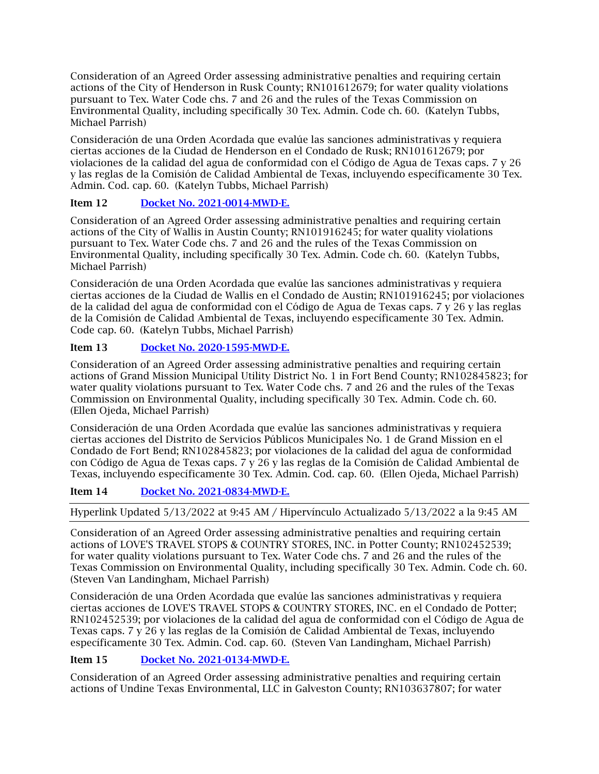Consideration of an Agreed Order assessing administrative penalties and requiring certain actions of the City of Henderson in Rusk County; RN101612679; for water quality violations pursuant to Tex. Water Code chs. 7 and 26 and the rules of the Texas Commission on Environmental Quality, including specifically 30 Tex. Admin. Code ch. 60. (Katelyn Tubbs, Michael Parrish)

Consideración de una Orden Acordada que evalúe las sanciones administrativas y requiera ciertas acciones de la Ciudad de Henderson en el Condado de Rusk; RN101612679; por violaciones de la calidad del agua de conformidad con el Código de Agua de Texas caps. 7 y 26 y las reglas de la Comisión de Calidad Ambiental de Texas, incluyendo específicamente 30 Tex. Admin. Cod. cap. 60. (Katelyn Tubbs, Michael Parrish)

## Item 12 [Docket No. 2021-0014-MWD-E.](https://www.tceq.texas.gov/downloads/agency/decisions/agendas/backup/2021/2021-0014-mwd-e.pdf)

Consideration of an Agreed Order assessing administrative penalties and requiring certain actions of the City of Wallis in Austin County; RN101916245; for water quality violations pursuant to Tex. Water Code chs. 7 and 26 and the rules of the Texas Commission on Environmental Quality, including specifically 30 Tex. Admin. Code ch. 60. (Katelyn Tubbs, Michael Parrish)

Consideración de una Orden Acordada que evalúe las sanciones administrativas y requiera ciertas acciones de la Ciudad de Wallis en el Condado de Austin; RN101916245; por violaciones de la calidad del agua de conformidad con el Código de Agua de Texas caps. 7 y 26 y las reglas de la Comisión de Calidad Ambiental de Texas, incluyendo específicamente 30 Tex. Admin. Code cap. 60. (Katelyn Tubbs, Michael Parrish)

## Item 13 [Docket No. 2020-1595-MWD-E.](https://www.tceq.texas.gov/downloads/agency/decisions/agendas/backup/2020/2020-1595-mwd-e.pdf)

Consideration of an Agreed Order assessing administrative penalties and requiring certain actions of Grand Mission Municipal Utility District No. 1 in Fort Bend County; RN102845823; for water quality violations pursuant to Tex. Water Code chs. 7 and 26 and the rules of the Texas Commission on Environmental Quality, including specifically 30 Tex. Admin. Code ch. 60. (Ellen Ojeda, Michael Parrish)

Consideración de una Orden Acordada que evalúe las sanciones administrativas y requiera ciertas acciones del Distrito de Servicios Públicos Municipales No. 1 de Grand Mission en el Condado de Fort Bend; RN102845823; por violaciones de la calidad del agua de conformidad con Código de Agua de Texas caps. 7 y 26 y las reglas de la Comisión de Calidad Ambiental de Texas, incluyendo específicamente 30 Tex. Admin. Cod. cap. 60. (Ellen Ojeda, Michael Parrish)

## Item 14 [Docket No. 2021-0834-MWD-E.](https://www.tceq.texas.gov/downloads/agency/decisions/agendas/backup/2021/2021-0834-mwd-e.pdf)

Hyperlink Updated 5/13/2022 at 9:45 AM / Hipervínculo Actualizado 5/13/2022 a la 9:45 AM

Consideration of an Agreed Order assessing administrative penalties and requiring certain actions of LOVE'S TRAVEL STOPS & COUNTRY STORES, INC. in Potter County; RN102452539; for water quality violations pursuant to Tex. Water Code chs. 7 and 26 and the rules of the Texas Commission on Environmental Quality, including specifically 30 Tex. Admin. Code ch. 60. (Steven Van Landingham, Michael Parrish)

Consideración de una Orden Acordada que evalúe las sanciones administrativas y requiera ciertas acciones de LOVE'S TRAVEL STOPS & COUNTRY STORES, INC. en el Condado de Potter; RN102452539; por violaciones de la calidad del agua de conformidad con el Código de Agua de Texas caps. 7 y 26 y las reglas de la Comisión de Calidad Ambiental de Texas, incluyendo específicamente 30 Tex. Admin. Cod. cap. 60. (Steven Van Landingham, Michael Parrish)

## Item 15 [Docket No. 2021-0134-MWD-E.](https://www.tceq.texas.gov/downloads/agency/decisions/agendas/backup/2021/2021-0134-mwd-e.pdf)

Consideration of an Agreed Order assessing administrative penalties and requiring certain actions of Undine Texas Environmental, LLC in Galveston County; RN103637807; for water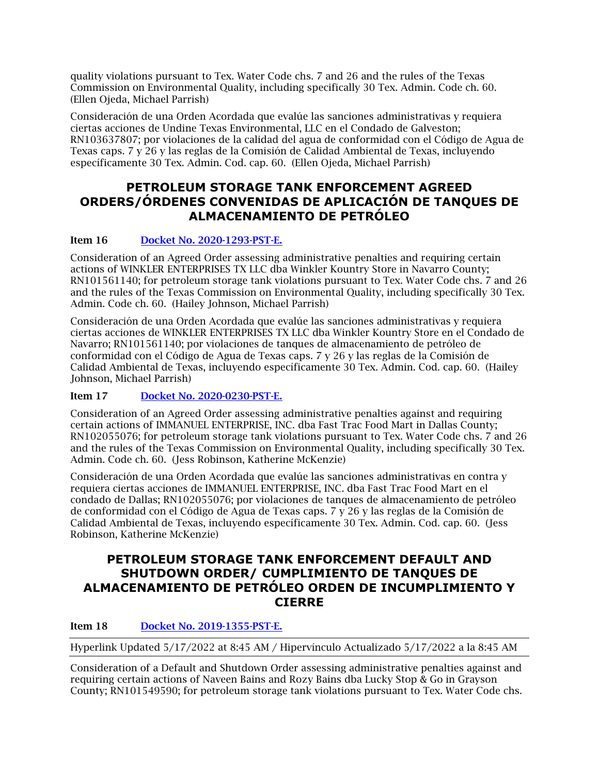quality violations pursuant to Tex. Water Code chs. 7 and 26 and the rules of the Texas Commission on Environmental Quality, including specifically 30 Tex. Admin. Code ch. 60. (Ellen Ojeda, Michael Parrish)

Consideración de una Orden Acordada que evalúe las sanciones administrativas y requiera ciertas acciones de Undine Texas Environmental, LLC en el Condado de Galveston; RN103637807; por violaciones de la calidad del agua de conformidad con el Código de Agua de Texas caps. 7 y 26 y las reglas de la Comisión de Calidad Ambiental de Texas, incluyendo específicamente 30 Tex. Admin. Cod. cap. 60. (Ellen Ojeda, Michael Parrish)

## **PETROLEUM STORAGE TANK ENFORCEMENT AGREED ORDERS/ÓRDENES CONVENIDAS DE APLICACIÓN DE TANQUES DE ALMACENAMIENTO DE PETRÓLEO**

## Item 16 [Docket No. 2020-1293-PST-E.](https://www.tceq.texas.gov/downloads/agency/decisions/agendas/backup/2020/2020-1293-pst-e.pdf)

Consideration of an Agreed Order assessing administrative penalties and requiring certain actions of WINKLER ENTERPRISES TX LLC dba Winkler Kountry Store in Navarro County; RN101561140; for petroleum storage tank violations pursuant to Tex. Water Code chs. 7 and 26 and the rules of the Texas Commission on Environmental Quality, including specifically 30 Tex. Admin. Code ch. 60. (Hailey Johnson, Michael Parrish)

Consideración de una Orden Acordada que evalúe las sanciones administrativas y requiera ciertas acciones de WINKLER ENTERPRISES TX LLC dba Winkler Kountry Store en el Condado de Navarro; RN101561140; por violaciones de tanques de almacenamiento de petróleo de conformidad con el Código de Agua de Texas caps. 7 y 26 y las reglas de la Comisión de Calidad Ambiental de Texas, incluyendo específicamente 30 Tex. Admin. Cod. cap. 60. (Hailey Johnson, Michael Parrish)

## Item 17 [Docket No. 2020-0230-PST-E.](https://www.tceq.texas.gov/downloads/agency/decisions/agendas/backup/2020/2020-0230-pst-e.pdf)

Consideration of an Agreed Order assessing administrative penalties against and requiring certain actions of IMMANUEL ENTERPRISE, INC. dba Fast Trac Food Mart in Dallas County; RN102055076; for petroleum storage tank violations pursuant to Tex. Water Code chs. 7 and 26 and the rules of the Texas Commission on Environmental Quality, including specifically 30 Tex. Admin. Code ch. 60. (Jess Robinson, Katherine McKenzie)

Consideración de una Orden Acordada que evalúe las sanciones administrativas en contra y requiera ciertas acciones de IMMANUEL ENTERPRISE, INC. dba Fast Trac Food Mart en el condado de Dallas; RN102055076; por violaciones de tanques de almacenamiento de petróleo de conformidad con el Código de Agua de Texas caps. 7 y 26 y las reglas de la Comisión de Calidad Ambiental de Texas, incluyendo específicamente 30 Tex. Admin. Cod. cap. 60. (Jess Robinson, Katherine McKenzie)

## **PETROLEUM STORAGE TANK ENFORCEMENT DEFAULT AND SHUTDOWN ORDER/ CUMPLIMIENTO DE TANQUES DE ALMACENAMIENTO DE PETRÓLEO ORDEN DE INCUMPLIMIENTO Y CIERRE**

## Item 18 [Docket No. 2019-1355-PST-E.](https://www.tceq.texas.gov/downloads/agency/decisions/agendas/backup/2019/2019-1355-pst-e.pdf)

Hyperlink Updated 5/17/2022 at 8:45 AM / Hipervínculo Actualizado 5/17/2022 a la 8:45 AM

Consideration of a Default and Shutdown Order assessing administrative penalties against and requiring certain actions of Naveen Bains and Rozy Bains dba Lucky Stop & Go in Grayson County; RN101549590; for petroleum storage tank violations pursuant to Tex. Water Code chs.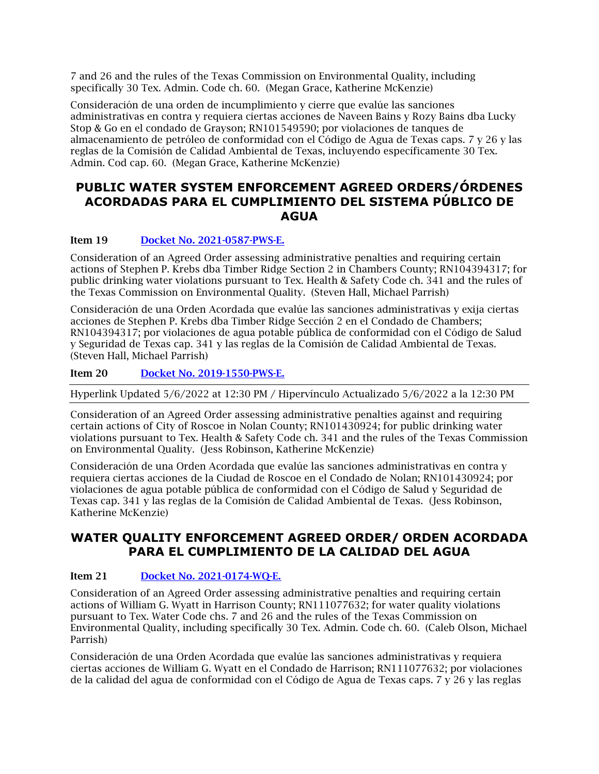7 and 26 and the rules of the Texas Commission on Environmental Quality, including specifically 30 Tex. Admin. Code ch. 60. (Megan Grace, Katherine McKenzie)

Consideración de una orden de incumplimiento y cierre que evalúe las sanciones administrativas en contra y requiera ciertas acciones de Naveen Bains y Rozy Bains dba Lucky Stop & Go en el condado de Grayson; RN101549590; por violaciones de tanques de almacenamiento de petróleo de conformidad con el Código de Agua de Texas caps. 7 y 26 y las reglas de la Comisión de Calidad Ambiental de Texas, incluyendo específicamente 30 Tex. Admin. Cod cap. 60. (Megan Grace, Katherine McKenzie)

## **PUBLIC WATER SYSTEM ENFORCEMENT AGREED ORDERS/ÓRDENES ACORDADAS PARA EL CUMPLIMIENTO DEL SISTEMA PÚBLICO DE AGUA**

#### Item 19 [Docket No. 2021-0587-PWS-E.](https://www.tceq.texas.gov/downloads/agency/decisions/agendas/backup/2021/2021-0587-pws-e.pdf)

Consideration of an Agreed Order assessing administrative penalties and requiring certain actions of Stephen P. Krebs dba Timber Ridge Section 2 in Chambers County; RN104394317; for public drinking water violations pursuant to Tex. Health & Safety Code ch. 341 and the rules of the Texas Commission on Environmental Quality. (Steven Hall, Michael Parrish)

Consideración de una Orden Acordada que evalúe las sanciones administrativas y exija ciertas acciones de Stephen P. Krebs dba Timber Ridge Sección 2 en el Condado de Chambers; RN104394317; por violaciones de agua potable pública de conformidad con el Código de Salud y Seguridad de Texas cap. 341 y las reglas de la Comisión de Calidad Ambiental de Texas. (Steven Hall, Michael Parrish)

Item 20 [Docket No. 2019-1550-PWS-E.](https://www.tceq.texas.gov/downloads/agency/decisions/agendas/backup/2019/2019-1550-pws-e.pdf)

Hyperlink Updated 5/6/2022 at 12:30 PM / Hipervínculo Actualizado 5/6/2022 a la 12:30 PM

Consideration of an Agreed Order assessing administrative penalties against and requiring certain actions of City of Roscoe in Nolan County; RN101430924; for public drinking water violations pursuant to Tex. Health & Safety Code ch. 341 and the rules of the Texas Commission on Environmental Quality. (Jess Robinson, Katherine McKenzie)

Consideración de una Orden Acordada que evalúe las sanciones administrativas en contra y requiera ciertas acciones de la Ciudad de Roscoe en el Condado de Nolan; RN101430924; por violaciones de agua potable pública de conformidad con el Código de Salud y Seguridad de Texas cap. 341 y las reglas de la Comisión de Calidad Ambiental de Texas. (Jess Robinson, Katherine McKenzie)

## **WATER QUALITY ENFORCEMENT AGREED ORDER/ ORDEN ACORDADA PARA EL CUMPLIMIENTO DE LA CALIDAD DEL AGUA**

#### Item 21 [Docket No. 2021-0174-WQ-E.](https://www.tceq.texas.gov/downloads/agency/decisions/agendas/backup/2021/2021-0174-wq-e.pdf)

Consideration of an Agreed Order assessing administrative penalties and requiring certain actions of William G. Wyatt in Harrison County; RN111077632; for water quality violations pursuant to Tex. Water Code chs. 7 and 26 and the rules of the Texas Commission on Environmental Quality, including specifically 30 Tex. Admin. Code ch. 60. (Caleb Olson, Michael Parrish)

Consideración de una Orden Acordada que evalúe las sanciones administrativas y requiera ciertas acciones de William G. Wyatt en el Condado de Harrison; RN111077632; por violaciones de la calidad del agua de conformidad con el Código de Agua de Texas caps. 7 y 26 y las reglas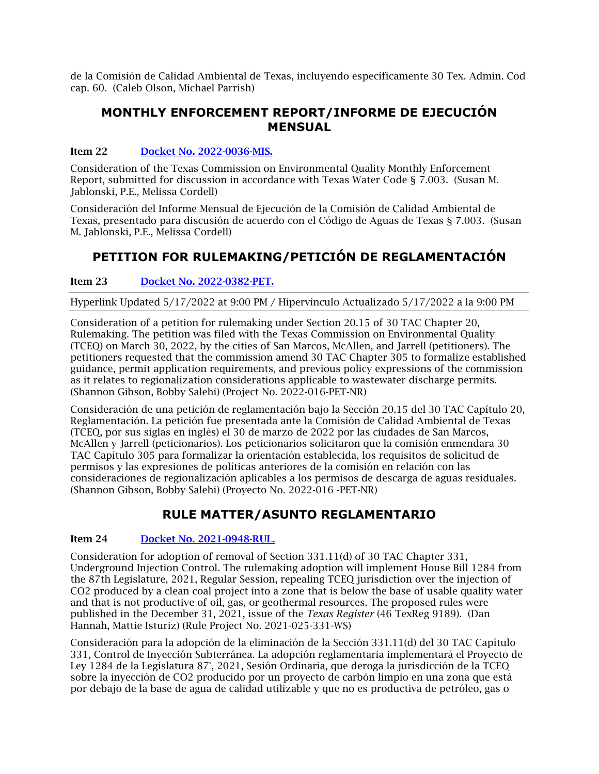de la Comisión de Calidad Ambiental de Texas, incluyendo específicamente 30 Tex. Admin. Cod cap. 60. (Caleb Olson, Michael Parrish)

## **MONTHLY ENFORCEMENT REPORT/INFORME DE EJECUCIÓN MENSUAL**

## Item 22 [Docket No. 2022-0036-MIS.](https://www.tceq.texas.gov/downloads/agency/decisions/agendas/backup/2022/2022-0036-mis.pdf)

Consideration of the Texas Commission on Environmental Quality Monthly Enforcement Report, submitted for discussion in accordance with Texas Water Code § 7.003. (Susan M. Jablonski, P.E., Melissa Cordell)

Consideración del Informe Mensual de Ejecución de la Comisión de Calidad Ambiental de Texas, presentado para discusión de acuerdo con el Código de Aguas de Texas § 7.003. (Susan M. Jablonski, P.E., Melissa Cordell)

# **PETITION FOR RULEMAKING/PETICIÓN DE REGLAMENTACIÓN**

Item 23 Docket No. 2022-0382-PET.

Hyperlink Updated 5/17/2022 at 9:00 PM / Hipervínculo Actualizado 5/17/2022 a la 9:00 PM

Consideration of a petition for rulemaking under Section 20.15 of 30 TAC Chapter 20, Rulemaking. The petition was filed with the Texas Commission on Environmental Quality (TCEQ) on March 30, 2022, by the cities of San Marcos, McAllen, and Jarrell (petitioners). The petitioners requested that the commission amend 30 TAC Chapter 305 to formalize established guidance, permit application requirements, and previous policy expressions of the commission as it relates to regionalization considerations applicable to wastewater discharge permits. (Shannon Gibson, Bobby Salehi) (Project No. 2022-016-PET-NR)

Consideración de una petición de reglamentación bajo la Sección 20.15 del 30 TAC Capítulo 20, Reglamentación. La petición fue presentada ante la Comisión de Calidad Ambiental de Texas (TCEQ, por sus siglas en inglés) el 30 de marzo de 2022 por las ciudades de San Marcos, McAllen y Jarrell (peticionarios). Los peticionarios solicitaron que la comisión enmendara 30 TAC Capítulo 305 para formalizar la orientación establecida, los requisitos de solicitud de permisos y las expresiones de políticas anteriores de la comisión en relación con las consideraciones de regionalización aplicables a los permisos de descarga de aguas residuales. (Shannon Gibson, Bobby Salehi) (Proyecto No. 2022-016 -PET-NR)

# **RULE MATTER/ASUNTO REGLAMENTARIO**

## Item 24 [Docket No. 2021-0948-RUL.](https://www.tceq.texas.gov/downloads/agency/decisions/agendas/backup/2021/2021-0948-rul.pdf)

Consideration for adoption of removal of Section 331.11(d) of 30 TAC Chapter 331, Underground Injection Control. The rulemaking adoption will implement House Bill 1284 from the 87th Legislature, 2021, Regular Session, repealing TCEQ jurisdiction over the injection of CO2 produced by a clean coal project into a zone that is below the base of usable quality water and that is not productive of oil, gas, or geothermal resources. The proposed rules were published in the December 31, 2021, issue of the *Texas Register* (46 TexReg 9189). (Dan Hannah, Mattie Isturiz) (Rule Project No. 2021-025-331-WS)

Consideración para la adopción de la eliminación de la Sección 331.11(d) del 30 TAC Capítulo 331, Control de Inyección Subterránea. La adopción reglamentaria implementará el Proyecto de Ley 1284 de la Legislatura 87°, 2021, Sesión Ordinaria, que deroga la jurisdicción de la TCEQ sobre la inyección de CO2 producido por un proyecto de carbón limpio en una zona que está por debajo de la base de agua de calidad utilizable y que no es productiva de petróleo, gas o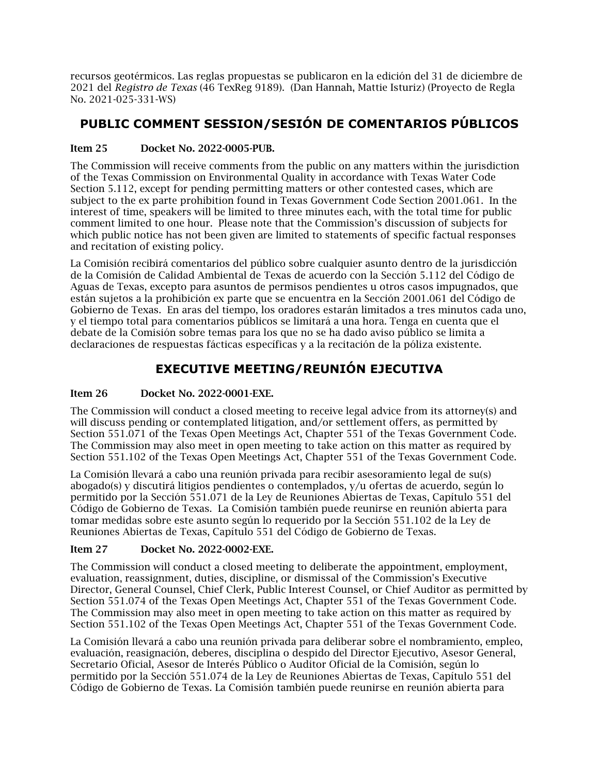recursos geotérmicos. Las reglas propuestas se publicaron en la edición del 31 de diciembre de 2021 del *Registro de Texas* (46 TexReg 9189). (Dan Hannah, Mattie Isturiz) (Proyecto de Regla No. 2021-025-331-WS)

# **PUBLIC COMMENT SESSION/SESIÓN DE COMENTARIOS PÚBLICOS**

## Item 25 Docket No. 2022-0005-PUB.

The Commission will receive comments from the public on any matters within the jurisdiction of the Texas Commission on Environmental Quality in accordance with Texas Water Code Section 5.112, except for pending permitting matters or other contested cases, which are subject to the ex parte prohibition found in Texas Government Code Section 2001.061. In the interest of time, speakers will be limited to three minutes each, with the total time for public comment limited to one hour. Please note that the Commission's discussion of subjects for which public notice has not been given are limited to statements of specific factual responses and recitation of existing policy.

La Comisión recibirá comentarios del público sobre cualquier asunto dentro de la jurisdicción de la Comisión de Calidad Ambiental de Texas de acuerdo con la Sección 5.112 del Código de Aguas de Texas, excepto para asuntos de permisos pendientes u otros casos impugnados, que están sujetos a la prohibición ex parte que se encuentra en la Sección 2001.061 del Código de Gobierno de Texas. En aras del tiempo, los oradores estarán limitados a tres minutos cada uno, y el tiempo total para comentarios públicos se limitará a una hora. Tenga en cuenta que el debate de la Comisión sobre temas para los que no se ha dado aviso público se limita a declaraciones de respuestas fácticas específicas y a la recitación de la póliza existente.

# **EXECUTIVE MEETING/REUNIÓN EJECUTIVA**

## Item 26 Docket No. 2022-0001-EXE.

The Commission will conduct a closed meeting to receive legal advice from its attorney(s) and will discuss pending or contemplated litigation, and/or settlement offers, as permitted by Section 551.071 of the Texas Open Meetings Act, Chapter 551 of the Texas Government Code. The Commission may also meet in open meeting to take action on this matter as required by Section 551.102 of the Texas Open Meetings Act, Chapter 551 of the Texas Government Code.

La Comisión llevará a cabo una reunión privada para recibir asesoramiento legal de su(s) abogado(s) y discutirá litigios pendientes o contemplados, y/u ofertas de acuerdo, según lo permitido por la Sección 551.071 de la Ley de Reuniones Abiertas de Texas, Capítulo 551 del Código de Gobierno de Texas. La Comisión también puede reunirse en reunión abierta para tomar medidas sobre este asunto según lo requerido por la Sección 551.102 de la Ley de Reuniones Abiertas de Texas, Capítulo 551 del Código de Gobierno de Texas.

## Item 27 Docket No. 2022-0002-EXE.

The Commission will conduct a closed meeting to deliberate the appointment, employment, evaluation, reassignment, duties, discipline, or dismissal of the Commission's Executive Director, General Counsel, Chief Clerk, Public Interest Counsel, or Chief Auditor as permitted by Section 551.074 of the Texas Open Meetings Act, Chapter 551 of the Texas Government Code. The Commission may also meet in open meeting to take action on this matter as required by Section 551.102 of the Texas Open Meetings Act, Chapter 551 of the Texas Government Code.

La Comisión llevará a cabo una reunión privada para deliberar sobre el nombramiento, empleo, evaluación, reasignación, deberes, disciplina o despido del Director Ejecutivo, Asesor General, Secretario Oficial, Asesor de Interés Público o Auditor Oficial de la Comisión, según lo permitido por la Sección 551.074 de la Ley de Reuniones Abiertas de Texas, Capítulo 551 del Código de Gobierno de Texas. La Comisión también puede reunirse en reunión abierta para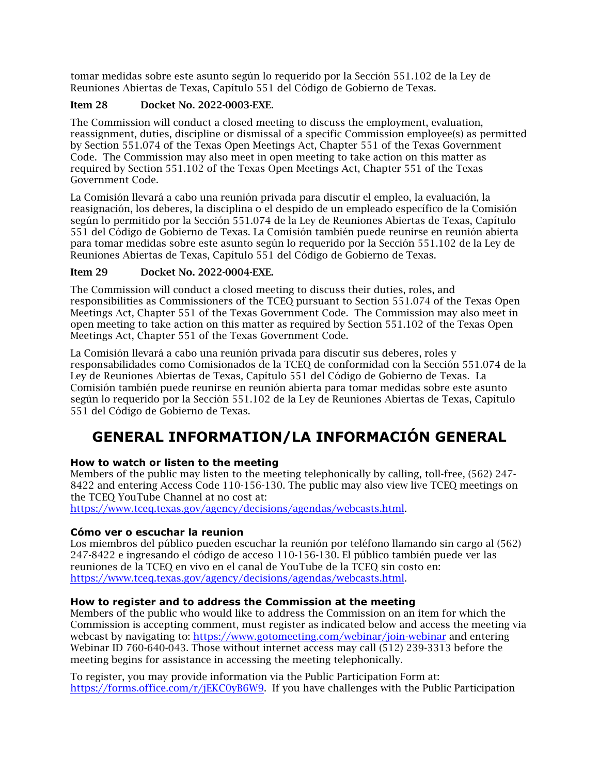tomar medidas sobre este asunto según lo requerido por la Sección 551.102 de la Ley de Reuniones Abiertas de Texas, Capítulo 551 del Código de Gobierno de Texas.

## Item 28 Docket No. 2022-0003-EXE.

The Commission will conduct a closed meeting to discuss the employment, evaluation, reassignment, duties, discipline or dismissal of a specific Commission employee(s) as permitted by Section 551.074 of the Texas Open Meetings Act, Chapter 551 of the Texas Government Code. The Commission may also meet in open meeting to take action on this matter as required by Section 551.102 of the Texas Open Meetings Act, Chapter 551 of the Texas Government Code.

La Comisión llevará a cabo una reunión privada para discutir el empleo, la evaluación, la reasignación, los deberes, la disciplina o el despido de un empleado específico de la Comisión según lo permitido por la Sección 551.074 de la Ley de Reuniones Abiertas de Texas, Capítulo 551 del Código de Gobierno de Texas. La Comisión también puede reunirse en reunión abierta para tomar medidas sobre este asunto según lo requerido por la Sección 551.102 de la Ley de Reuniones Abiertas de Texas, Capítulo 551 del Código de Gobierno de Texas.

#### Item 29 Docket No. 2022-0004-EXE.

The Commission will conduct a closed meeting to discuss their duties, roles, and responsibilities as Commissioners of the TCEQ pursuant to Section 551.074 of the Texas Open Meetings Act, Chapter 551 of the Texas Government Code. The Commission may also meet in open meeting to take action on this matter as required by Section 551.102 of the Texas Open Meetings Act, Chapter 551 of the Texas Government Code.

La Comisión llevará a cabo una reunión privada para discutir sus deberes, roles y responsabilidades como Comisionados de la TCEQ de conformidad con la Sección 551.074 de la Ley de Reuniones Abiertas de Texas, Capítulo 551 del Código de Gobierno de Texas. La Comisión también puede reunirse en reunión abierta para tomar medidas sobre este asunto según lo requerido por la Sección 551.102 de la Ley de Reuniones Abiertas de Texas, Capítulo 551 del Código de Gobierno de Texas.

# <span id="page-9-0"></span>**GENERAL INFORMATION/LA INFORMACIÓN GENERAL**

## **How to watch or listen to the meeting**

Members of the public may listen to the meeting telephonically by calling, toll-free, (562) 247- 8422 and entering Access Code 110-156-130. The public may also view live TCEQ meetings on the TCEQ YouTube Channel at no cost at:

[https://www.tceq.texas.gov/agency/decisions/agendas/webcasts.html.](https://www.tceq.texas.gov/agency/decisions/agendas/webcasts.html)

#### **Cómo ver o escuchar la reunion**

Los miembros del público pueden escuchar la reunión por teléfono llamando sin cargo al (562) 247-8422 e ingresando el código de acceso 110-156-130. El público también puede ver las reuniones de la TCEQ en vivo en el canal de YouTube de la TCEQ sin costo en: [https://www.tceq.texas.gov/agency/decisions/agendas/webcasts.html.](https://www.tceq.texas.gov/agency/decisions/agendas/webcasts.html)

#### **How to register and to address the Commission at the meeting**

Members of the public who would like to address the Commission on an item for which the Commission is accepting comment, must register as indicated below and access the meeting via webcast by navigating to:<https://www.gotomeeting.com/webinar/join-webinar> and entering Webinar ID 760-640-043. Those without internet access may call (512) 239-3313 before the meeting begins for assistance in accessing the meeting telephonically.

To register, you may provide information via the Public Participation Form at: [https://forms.office.com/r/jEKC0yB6W9.](https://forms.office.com/r/jEKC0yB6W9) If you have challenges with the Public Participation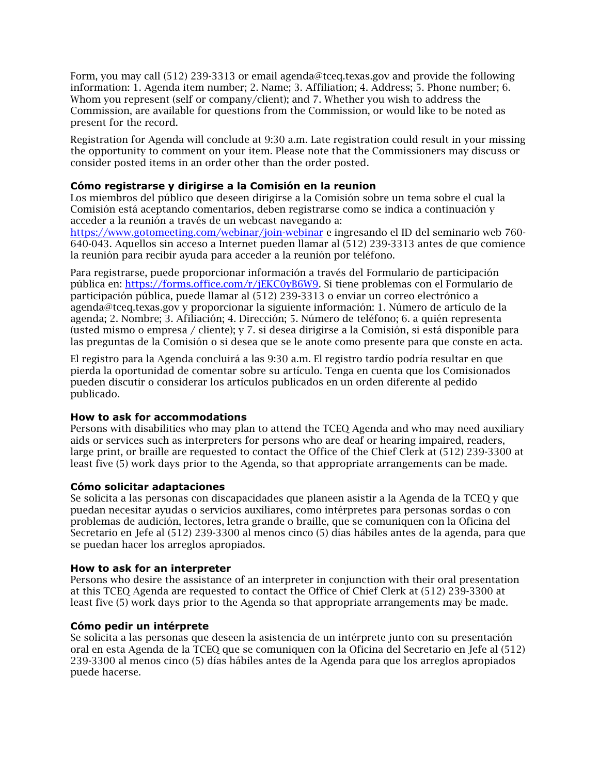Form, you may call (512) 239-3313 or email agenda@tceq.texas.gov and provide the following information: 1. Agenda item number; 2. Name; 3. Affiliation; 4. Address; 5. Phone number; 6. Whom you represent (self or company/client); and 7. Whether you wish to address the Commission, are available for questions from the Commission, or would like to be noted as present for the record.

Registration for Agenda will conclude at 9:30 a.m. Late registration could result in your missing the opportunity to comment on your item. Please note that the Commissioners may discuss or consider posted items in an order other than the order posted.

#### **Cómo registrarse y dirigirse a la Comisión en la reunion**

Los miembros del público que deseen dirigirse a la Comisión sobre un tema sobre el cual la Comisión está aceptando comentarios, deben registrarse como se indica a continuación y acceder a la reunión a través de un webcast navegando a:

<https://www.gotomeeting.com/webinar/join-webinar> e ingresando el ID del seminario web 760- 640-043. Aquellos sin acceso a Internet pueden llamar al (512) 239-3313 antes de que comience la reunión para recibir ayuda para acceder a la reunión por teléfono.

Para registrarse, puede proporcionar información a través del Formulario de participación pública en: [https://forms.office.com/r/jEKC0yB6W9.](https://forms.office.com/r/jEKC0yB6W9) Si tiene problemas con el Formulario de participación pública, puede llamar al (512) 239-3313 o enviar un correo electrónico a agenda@tceq.texas.gov y proporcionar la siguiente información: 1. Número de artículo de la agenda; 2. Nombre; 3. Afiliación; 4. Dirección; 5. Número de teléfono; 6. a quién representa (usted mismo o empresa / cliente); y 7. si desea dirigirse a la Comisión, si está disponible para las preguntas de la Comisión o si desea que se le anote como presente para que conste en acta.

El registro para la Agenda concluirá a las 9:30 a.m. El registro tardío podría resultar en que pierda la oportunidad de comentar sobre su artículo. Tenga en cuenta que los Comisionados pueden discutir o considerar los artículos publicados en un orden diferente al pedido publicado.

#### **How to ask for accommodations**

Persons with disabilities who may plan to attend the TCEQ Agenda and who may need auxiliary aids or services such as interpreters for persons who are deaf or hearing impaired, readers, large print, or braille are requested to contact the Office of the Chief Clerk at (512) 239-3300 at least five (5) work days prior to the Agenda, so that appropriate arrangements can be made.

#### **Cómo solicitar adaptaciones**

Se solicita a las personas con discapacidades que planeen asistir a la Agenda de la TCEQ y que puedan necesitar ayudas o servicios auxiliares, como intérpretes para personas sordas o con problemas de audición, lectores, letra grande o braille, que se comuniquen con la Oficina del Secretario en Jefe al (512) 239-3300 al menos cinco (5) días hábiles antes de la agenda, para que se puedan hacer los arreglos apropiados.

#### **How to ask for an interpreter**

Persons who desire the assistance of an interpreter in conjunction with their oral presentation at this TCEQ Agenda are requested to contact the Office of Chief Clerk at (512) 239-3300 at least five (5) work days prior to the Agenda so that appropriate arrangements may be made.

#### **Cómo pedir un intérprete**

Se solicita a las personas que deseen la asistencia de un intérprete junto con su presentación oral en esta Agenda de la TCEQ que se comuniquen con la Oficina del Secretario en Jefe al (512) 239-3300 al menos cinco (5) días hábiles antes de la Agenda para que los arreglos apropiados puede hacerse.